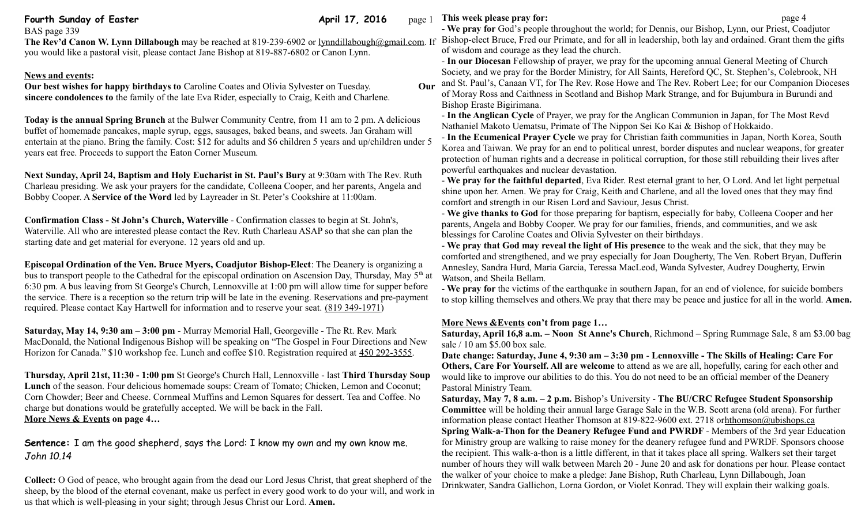# **Fourth Sunday of Easter April 17, 2016**

BAS page 339

**The Rev'd Canon W. Lynn Dillabough** may be reached at 819-239-6902 or [lynndillabough@gmail.com.](mailto:lynndillabough@gmail.com) If you would like a pastoral visit, please contact Jane Bishop at 819-887-6802 or Canon Lynn.

#### **News and events:**

**Our best wishes for happy birthdays to** Caroline Coates and Olivia Sylvester on Tuesday. **sincere condolences to** the family of the late Eva Rider, especially to Craig, Keith and Charlene.

**Today is the annual Spring Brunch** at the Bulwer Community Centre, from 11 am to 2 pm. A delicious buffet of homemade pancakes, maple syrup, eggs, sausages, baked beans, and sweets. Jan Graham will entertain at the piano. Bring the family. Cost: \$12 for adults and \$6 children 5 years and up/children under 5 years eat free. Proceeds to support the Eaton Corner Museum.

**Next Sunday, April 24, Baptism and Holy Eucharist in St. Paul's Bury** at 9:30am with The Rev. Ruth Charleau presiding. We ask your prayers for the candidate, Colleena Cooper, and her parents, Angela and Bobby Cooper. A **Service of the Word** led by Layreader in St. Peter's Cookshire at 11:00am.

**Confirmation Class - St John's Church, Waterville** - Confirmation classes to begin at St. John's, Waterville. All who are interested please contact the Rev. Ruth Charleau ASAP so that she can plan the starting date and get material for everyone. 12 years old and up.

**Episcopal Ordination of the Ven. Bruce Myers, Coadjutor Bishop-Elect**: The Deanery is organizing a bus to transport people to the Cathedral for the episcopal ordination on Ascension Day, Thursday, May  $5<sup>th</sup>$  at 6:30 pm. A bus leaving from St George's Church, Lennoxville at 1:00 pm will allow time for supper before the service. There is a reception so the return trip will be late in the evening. Reservations and pre-payment required. Please contact Kay Hartwell for information and to reserve your seat. [\(819 349-1971\)](tel:(819%20349-1971)

**Saturday, May 14, 9:30 am – 3:00 pm** - Murray Memorial Hall, Georgeville - The Rt. Rev. Mark MacDonald, the National Indigenous Bishop will be speaking on "The Gospel in Four Directions and New Horizon for Canada." \$10 workshop fee. Lunch and coffee \$10. Registration required at [450 292-3555.](tel:450%20292-3555)

**Thursday, April 21st, 11:30 - 1:00 pm** St George's Church Hall, Lennoxville - last **Third Thursday Soup Lunch** of the season. Four delicious homemade soups: Cream of Tomato; Chicken, Lemon and Coconut; Corn Chowder; Beer and Cheese. Cornmeal Muffins and Lemon Squares for dessert. Tea and Coffee. No charge but donations would be gratefully accepted. We will be back in the Fall. **More News & Events on page 4…**

**Sentence:** I am the good shepherd, says the Lord: I know my own and my own know me. *John 10.14*

**Collect:** O God of peace, who brought again from the dead our Lord Jesus Christ, that great shepherd of the sheep, by the blood of the eternal covenant, make us perfect in every good work to do your will, and work in us that which is well-pleasing in your sight; through Jesus Christ our Lord. **Amen.**

## page 1 This week please pray for: **page 4**

**- We pray for** God's people throughout the world; for Dennis, our Bishop, Lynn, our Priest, Coadjutor Bishop-elect Bruce, Fred our Primate, and for all in leadership, both lay and ordained. Grant them the gifts of wisdom and courage as they lead the church.

- **In our Diocesan** Fellowship of prayer, we pray for the upcoming annual General Meeting of Church Society, and we pray for the Border Ministry, for All Saints, Hereford QC, St. Stephen's, Colebrook, NH

Our and St. Paul's, Canaan VT, for The Rev. Rose Howe and The Rev. Robert Lee; for our Companion Dioceses of Moray Ross and Caithness in Scotland and Bishop Mark Strange, and for Bujumbura in Burundi and Bishop Eraste Bigirimana.

- **In the Anglican Cycle** of Prayer, we pray for the Anglican Communion in Japan, for The Most Revd Nathaniel Makoto Uematsu, Primate of The Nippon Sei Ko Kai & Bishop of Hokkaido.

- **In the Ecumenical Prayer Cycle** we pray for Christian faith communities in Japan, North Korea, South Korea and Taiwan. We pray for an end to political unrest, border disputes and nuclear weapons, for greater protection of human rights and a decrease in political corruption, for those still rebuilding their lives after powerful earthquakes and nuclear devastation.

- **We pray for the faithful departed**, Eva Rider. Rest eternal grant to her, O Lord. And let light perpetual shine upon her. Amen. We pray for Craig, Keith and Charlene, and all the loved ones that they may find comfort and strength in our Risen Lord and Saviour, Jesus Christ.

- **We give thanks to God** for those preparing for baptism, especially for baby, Colleena Cooper and her parents, Angela and Bobby Cooper. We pray for our families, friends, and communities, and we ask blessings for Caroline Coates and Olivia Sylvester on their birthdays.

- **We pray that God may reveal the light of His presence** to the weak and the sick, that they may be comforted and strengthened, and we pray especially for Joan Dougherty, The Ven. Robert Bryan, Dufferin Annesley, Sandra Hurd, Maria Garcia, Teressa MacLeod, Wanda Sylvester, Audrey Dougherty, Erwin Watson, and Sheila Bellam.

- **We pray for** the victims of the earthquake in southern Japan, for an end of violence, for suicide bombers to stop killing themselves and others.We pray that there may be peace and justice for all in the world. **Amen.**

## **More News &Events con't from page 1…**

**Saturday, April 16,8 a.m. – Noon St Anne's Church**, Richmond – Spring Rummage Sale, 8 am \$3.00 bag sale / 10 am \$5.00 box sale.

**Date change: Saturday, June 4, 9:30 am – 3:30 pm** - **Lennoxville - The Skills of Healing: Care For Others, Care For Yourself. All are welcome** to attend as we are all, hopefully, caring for each other and would like to improve our abilities to do this. You do not need to be an official member of the Deanery Pastoral Ministry Team.

**Saturday, May 7, 8 a.m. – 2 p.m.** Bishop's University - **The BU/CRC Refugee Student Sponsorship Committee** will be holding their annual large Garage Sale in the W.B. Scott arena (old arena). For further information please contact Heather Thomson at 819-822-9600 ext. 2718 o[rhthomson@ubishops.ca](https://webmail.ubishops.ca/owa/redir.aspx?REF=FLnmocQHos1aSS6_izloWzXz-vn948huD0NonW8iwmC1KgSOCljTCAFtYWlsdG86aHRob21zb25AdWJpc2hvcHMuY2E.)  **Spring Walk-a-Thon for the Deanery Refugee Fund and PWRDF** - Members of the 3rd year Education for Ministry group are walking to raise money for the deanery refugee fund and PWRDF. Sponsors choose the recipient. This walk-a-thon is a little different, in that it takes place all spring. Walkers set their target number of hours they will walk between March 20 - June 20 and ask for donations per hour. Please contact the walker of your choice to make a pledge: Jane Bishop, Ruth Charleau, Lynn Dillabough, Joan Drinkwater, Sandra Gallichon, Lorna Gordon, or Violet Konrad. They will explain their walking goals.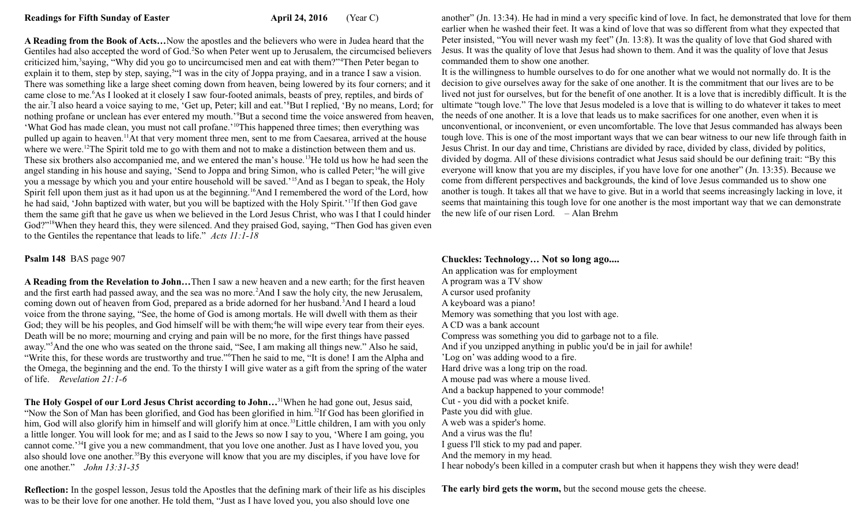**A Reading from the Book of Acts…**Now the apostles and the believers who were in Judea heard that the Gentiles had also accepted the word of God.<sup>2</sup>So when Peter went up to Jerusalem, the circumcised believers criticized him,<sup>3</sup>saying, "Why did you go to uncircumcised men and eat with them?"<sup>4</sup>Then Peter began to explain it to them, step by step, saying,<sup>54</sup> was in the city of Joppa praying, and in a trance I saw a vision. There was something like a large sheet coming down from heaven, being lowered by its four corners; and it came close to me.<sup>6</sup>As I looked at it closely I saw four-footed animals, beasts of prey, reptiles, and birds of the air.<sup>7</sup>I also heard a voice saying to me, 'Get up, Peter; kill and eat.'<sup>8</sup>But I replied, 'By no means, Lord; for nothing profane or unclean has ever entered my mouth.<sup>9</sup>But a second time the voice answered from heaven, 'What God has made clean, you must not call profane.'<sup>10</sup>This happened three times; then everything was pulled up again to heaven.<sup>11</sup>At that very moment three men, sent to me from Caesarea, arrived at the house where we were.<sup>12</sup>The Spirit told me to go with them and not to make a distinction between them and us. These six brothers also accompanied me, and we entered the man's house.<sup>13</sup>He told us how he had seen the angel standing in his house and saying, 'Send to Joppa and bring Simon, who is called Peter;<sup>14</sup>he will give you a message by which you and your entire household will be saved.'<sup>15</sup>And as I began to speak, the Holy Spirit fell upon them just as it had upon us at the beginning.<sup>16</sup>And I remembered the word of the Lord, how he had said, 'John baptized with water, but you will be baptized with the Holy Spirit.'<sup>17</sup>If then God gave them the same gift that he gave us when we believed in the Lord Jesus Christ, who was I that I could hinder God?"<sup>18</sup>When they heard this, they were silenced. And they praised God, saying, "Then God has given even to the Gentiles the repentance that leads to life." *Acts 11:1-18* 

#### **Psalm 148** BAS page 907

**A Reading from the Revelation to John…**Then I saw a new heaven and a new earth; for the first heaven and the first earth had passed away, and the sea was no more.<sup>2</sup>And I saw the holy city, the new Jerusalem, coming down out of heaven from God, prepared as a bride adorned for her husband.<sup>3</sup>And I heard a loud voice from the throne saying, "See, the home of God is among mortals. He will dwell with them as their God; they will be his peoples, and God himself will be with them; <sup>4</sup>he will wipe every tear from their eyes. Death will be no more; mourning and crying and pain will be no more, for the first things have passed away."<sup>5</sup>And the one who was seated on the throne said, "See, I am making all things new." Also he said, "Write this, for these words are trustworthy and true."<sup>6</sup>Then he said to me, "It is done! I am the Alpha and the Omega, the beginning and the end. To the thirsty I will give water as a gift from the spring of the water of life. *Revelation 21:1-6*

**The Holy Gospel of our Lord Jesus Christ according to John…**<sup>31</sup>When he had gone out, Jesus said, "Now the Son of Man has been glorified, and God has been glorified in him.<sup>32</sup>If God has been glorified in him, God will also glorify him in himself and will glorify him at once.<sup>33</sup>Little children, I am with you only a little longer. You will look for me; and as I said to the Jews so now I say to you, 'Where I am going, you cannot come.'<sup>34</sup>I give you a new commandment, that you love one another. Just as I have loved you, you also should love one another.<sup>35</sup>By this everyone will know that you are my disciples, if you have love for one another." *John 13:31-35*

**Reflection:** In the gospel lesson, Jesus told the Apostles that the defining mark of their life as his disciples was to be their love for one another. He told them, "Just as I have loved you, you also should love one

another" (Jn. 13:34). He had in mind a very specific kind of love. In fact, he demonstrated that love for them earlier when he washed their feet. It was a kind of love that was so different from what they expected that Peter insisted, "You will never wash my feet" (Jn. 13:8). It was the quality of love that God shared with Jesus. It was the quality of love that Jesus had shown to them. And it was the quality of love that Jesus commanded them to show one another.

It is the willingness to humble ourselves to do for one another what we would not normally do. It is the decision to give ourselves away for the sake of one another. It is the commitment that our lives are to be lived not just for ourselves, but for the benefit of one another. It is a love that is incredibly difficult. It is the ultimate "tough love." The love that Jesus modeled is a love that is willing to do whatever it takes to meet the needs of one another. It is a love that leads us to make sacrifices for one another, even when it is unconventional, or inconvenient, or even uncomfortable. The love that Jesus commanded has always been tough love. This is one of the most important ways that we can bear witness to our new life through faith in Jesus Christ. In our day and time, Christians are divided by race, divided by class, divided by politics, divided by dogma. All of these divisions contradict what Jesus said should be our defining trait: "By this everyone will know that you are my disciples, if you have love for one another" (Jn. 13:35). Because we come from different perspectives and backgrounds, the kind of love Jesus commanded us to show one another is tough. It takes all that we have to give. But in a world that seems increasingly lacking in love, it seems that maintaining this tough love for one another is the most important way that we can demonstrate the new life of our risen Lord. – Alan Brehm

**Chuckles: Technology… Not so long ago....**

An application was for employment A program was a TV show A cursor used profanity A keyboard was a piano! Memory was something that you lost with age. A CD was a bank account Compress was something you did to garbage not to a file. And if you unzipped anything in public you'd be in jail for awhile! 'Log on' was adding wood to a fire. Hard drive was a long trip on the road. A mouse pad was where a mouse lived. And a backup happened to your commode! Cut - you did with a pocket knife. Paste you did with glue. A web was a spider's home. And a virus was the flu! I guess I'll stick to my pad and paper. And the memory in my head. I hear nobody's been killed in a computer crash but when it happens they wish they were dead!

**The early bird gets the worm,** but the second mouse gets the cheese.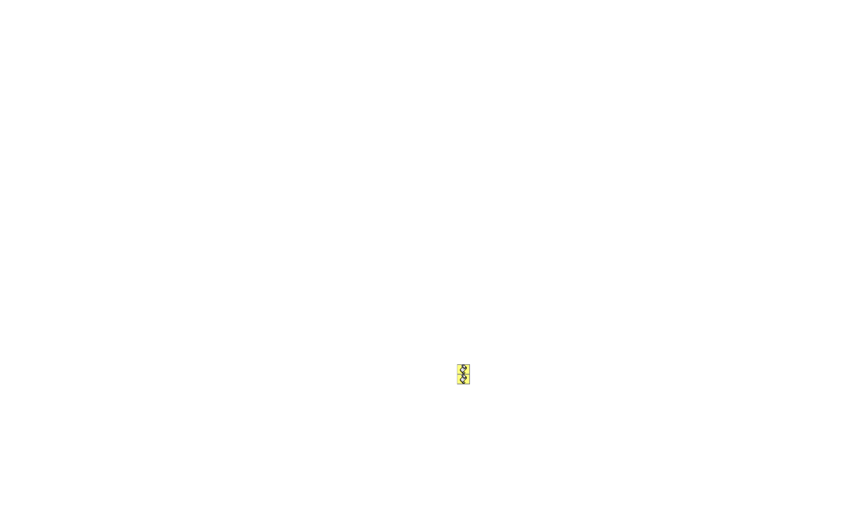